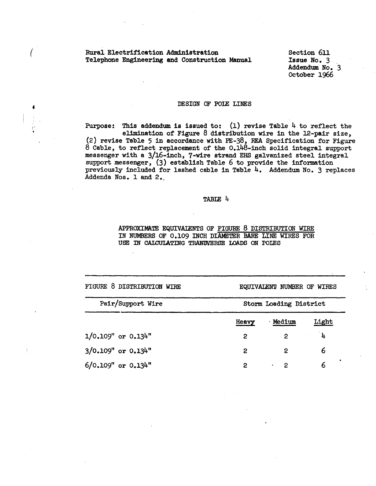# *(* Rural Electrification Administration Telephone Engineering and Construction Manual

Section 6ll Issue No. 3 Addendum No. 3 October 1966

### DESIGN OF POlE LINES

Purpose: This addendum is issued to:  $(1)$  revise Table 4 to reflect the elimination of Figure 8 distribution wire in the 12-pair size, (2) revise Table 5 in accordance with PE-38, REA Specification for Figure 8 Cable, to reflect replacement of the 0.148-inch solid integral support messenger with a 3/16-inch, 7-wire strand EHS galvanized steel integral support messenger, (3) establish Table 6 to provide the information previously included for lashed cable in Table 4. Addendum No. 3 replaces Addenda Nos. 1 and 2.

### TABIE 4

APPROXIMATE EQUIVAlENTS OF FIGURE 8 DISTRIBUTION WIRE IN NUMBERS OF 0.109 INCH DIAMETER BARE LINE WIRES FOR USE IN CALCULATING TRANSVERSE LOADS ON POLES

| FIGURE 8 DISTRIBUTION WIRE |       | EQUIVALENT NUMBER OF WIRES |       |  |  |
|----------------------------|-------|----------------------------|-------|--|--|
| Pair/Support Wire          |       | Storm Loading District     |       |  |  |
|                            | Heavy | <b>Medium</b>              | Light |  |  |
| $1/0.109"$ or $0.134"$     | 2     | 2                          | ิ้น   |  |  |
| 3/0.109" or 0.134"         | 2     | 2                          | 6     |  |  |
| $6/0.109"$ or $0.134"$     | 2     | 2                          |       |  |  |
|                            |       |                            |       |  |  |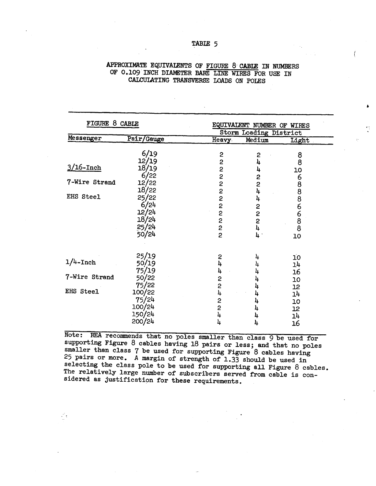# APPROXIMATE EQUIVALENTS OF FIGURE 8 CABLE IN NUMBERS OF 0.109 INCH DIAMETER BARE LINE WIRES FOR USE IN CALCULATING TRANSVERSE LOADS ON POLES

| FIGURE 8 CABLE |                                                   |                                                  | EQUIVALENT NUMBER OF WIRES<br>Storm Loading District |                                  |  |
|----------------|---------------------------------------------------|--------------------------------------------------|------------------------------------------------------|----------------------------------|--|
| Messenger      | Pair/Gauge                                        | Heavy                                            | Medium                                               | Light                            |  |
|                | 6/19                                              | 2                                                | 2                                                    | 8                                |  |
| $3/16$ -Inch   | 12/19<br>18/19<br>6/22                            | $\mathbf{z}$<br>$\overline{c}$<br>$\overline{c}$ | 4<br>4                                               | 8<br>10                          |  |
| 7-Wire Strand  | 12/22<br>18/22                                    | $\overline{c}$<br>$\overline{c}$                 | 2<br>2<br>4                                          | 6888                             |  |
| EHS Steel      | 25/22<br>6/24<br>12/24<br>18/24<br>25/24<br>50/24 | 2<br><b>NNNN</b><br>$\overline{2}$               | 4<br>2224<br>$\,4\,$                                 | 6688<br>10                       |  |
| $1/4$ -Inch    | 25/19<br>50/19                                    | 2<br>4<br>4                                      | 4<br>4<br>4                                          | 10<br>14<br>16                   |  |
| 7-Wire Strand  | $75/19$<br>50/22<br>75/22                         | 2                                                | 4                                                    | 10                               |  |
| EHS Steel      | 100/22<br>75/24<br>100/24<br>150/24<br>200/24     | 2<br>4<br>2<br>2<br>4<br>4                       | 4<br>4<br>4<br>4<br>4<br>4                           | 12<br>14<br>10<br>12<br>14<br>16 |  |

Note: REA recommends that no poles smaller than class 9 be used for supporting Figure 8 cables having 18 pairs or less; and that no poles smaller than class 7 be used for supporting Figure 8 cables having 25 pairs or more. A margin of strength of 1.33 should be used in selecting the class pole to be used for supporting all Figure 8 cables. The relatively large number of subscribers served from cable is considered as justification for these requirements.

 $\mathcal{F}_{\mathcal{A}}$ 

## TABLE 5